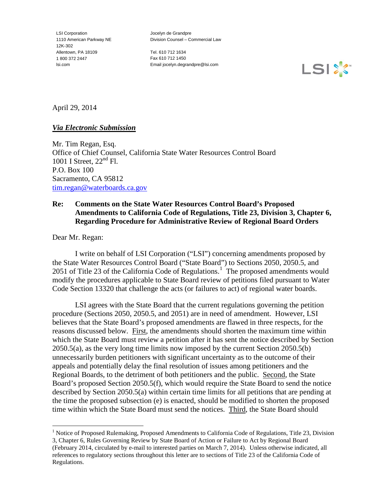LSI Corporation 1110 American Parkway NE 12K-302 Allentown, PA 18109 1 800 372 2447 lsi.com

Jocelyn de Grandpre Division Counsel – Commercial Law

Tel. 610 712 1634 Fax 610 712 1450 Email jocelyn.degrandpre@lsi.com



April 29, 2014

### *Via Electronic Submission*

Mr. Tim Regan, Esq. Office of Chief Counsel, California State Water Resources Control Board 1001 I Street,  $22<sup>nd</sup>$  Fl. P.O. Box 100 Sacramento, CA 95812 [tim.regan@waterboards.ca.gov](mailto:tim.regan@waterboards.ca.gov)

# **Re: Comments on the State Water Resources Control Board's Proposed Amendments to California Code of Regulations, Title 23, Division 3, Chapter 6, Regarding Procedure for Administrative Review of Regional Board Orders**

Dear Mr. Regan:

I write on behalf of LSI Corporation ("LSI") concerning amendments proposed by the State Water Resources Control Board ("State Board") to Sections 2050, 2050.5, and 205[1](#page-0-0) of Title 23 of the California Code of Regulations.<sup>1</sup> The proposed amendments would modify the procedures applicable to State Board review of petitions filed pursuant to Water Code Section 13320 that challenge the acts (or failures to act) of regional water boards.

LSI agrees with the State Board that the current regulations governing the petition procedure (Sections 2050, 2050.5, and 2051) are in need of amendment. However, LSI believes that the State Board's proposed amendments are flawed in three respects, for the reasons discussed below. First, the amendments should shorten the maximum time within which the State Board must review a petition after it has sent the notice described by Section 2050.5(a), as the very long time limits now imposed by the current Section 2050.5(b) unnecessarily burden petitioners with significant uncertainty as to the outcome of their appeals and potentially delay the final resolution of issues among petitioners and the Regional Boards, to the detriment of both petitioners and the public. Second, the State Board's proposed Section 2050.5(f), which would require the State Board to send the notice described by Section 2050.5(a) within certain time limits for all petitions that are pending at the time the proposed subsection (e) is enacted, should be modified to shorten the proposed time within which the State Board must send the notices. Third, the State Board should

 $\overline{a}$ 

<span id="page-0-0"></span><sup>&</sup>lt;sup>1</sup> Notice of Proposed Rulemaking, Proposed Amendments to California Code of Regulations, Title 23, Division 3, Chapter 6, Rules Governing Review by State Board of Action or Failure to Act by Regional Board (February 2014, circulated by e-mail to interested parties on March 7, 2014). Unless otherwise indicated, all references to regulatory sections throughout this letter are to sections of Title 23 of the California Code of

Regulations.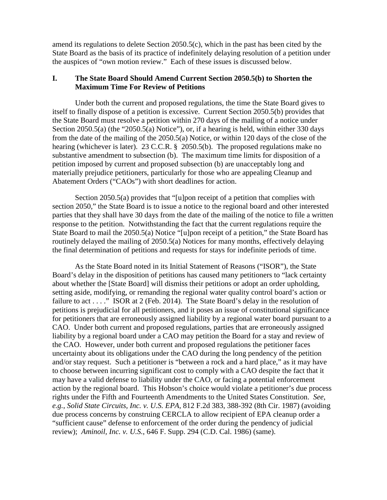amend its regulations to delete Section 2050.5(c), which in the past has been cited by the State Board as the basis of its practice of indefinitely delaying resolution of a petition under the auspices of "own motion review." Each of these issues is discussed below.

## **I. The State Board Should Amend Current Section 2050.5(b) to Shorten the Maximum Time For Review of Petitions**

Under both the current and proposed regulations, the time the State Board gives to itself to finally dispose of a petition is excessive. Current Section 2050.5(b) provides that the State Board must resolve a petition within 270 days of the mailing of a notice under Section 2050.5(a) (the "2050.5(a) Notice"), or, if a hearing is held, within either 330 days from the date of the mailing of the 2050.5(a) Notice, or within 120 days of the close of the hearing (whichever is later). 23 C.C.R. § 2050.5(b). The proposed regulations make no substantive amendment to subsection (b). The maximum time limits for disposition of a petition imposed by current and proposed subsection (b) are unacceptably long and materially prejudice petitioners, particularly for those who are appealing Cleanup and Abatement Orders ("CAOs") with short deadlines for action.

Section 2050.5(a) provides that "[u]pon receipt of a petition that complies with section 2050," the State Board is to issue a notice to the regional board and other interested parties that they shall have 30 days from the date of the mailing of the notice to file a written response to the petition. Notwithstanding the fact that the current regulations require the State Board to mail the 2050.5(a) Notice "[u]pon receipt of a petition," the State Board has routinely delayed the mailing of 2050.5(a) Notices for many months, effectively delaying the final determination of petitions and requests for stays for indefinite periods of time.

As the State Board noted in its Initial Statement of Reasons ("ISOR"), the State Board's delay in the disposition of petitions has caused many petitioners to "lack certainty about whether the [State Board] will dismiss their petitions or adopt an order upholding, setting aside, modifying, or remanding the regional water quality control board's action or failure to act . . . ." ISOR at 2 (Feb. 2014). The State Board's delay in the resolution of petitions is prejudicial for all petitioners, and it poses an issue of constitutional significance for petitioners that are erroneously assigned liability by a regional water board pursuant to a CAO. Under both current and proposed regulations, parties that are erroneously assigned liability by a regional board under a CAO may petition the Board for a stay and review of the CAO. However, under both current and proposed regulations the petitioner faces uncertainty about its obligations under the CAO during the long pendency of the petition and/or stay request. Such a petitioner is "between a rock and a hard place," as it may have to choose between incurring significant cost to comply with a CAO despite the fact that it may have a valid defense to liability under the CAO, or facing a potential enforcement action by the regional board. This Hobson's choice would violate a petitioner's due process rights under the Fifth and Fourteenth Amendments to the United States Constitution. *See*, *e.g.*, *Solid State Circuits, Inc. v. U.S. EPA*, 812 F.2d 383, 388-392 (8th Cir. 1987) (avoiding due process concerns by construing CERCLA to allow recipient of EPA cleanup order a "sufficient cause" defense to enforcement of the order during the pendency of judicial review); *Aminoil, Inc. v. U.S.*, 646 F. Supp. 294 (C.D. Cal. 1986) (same).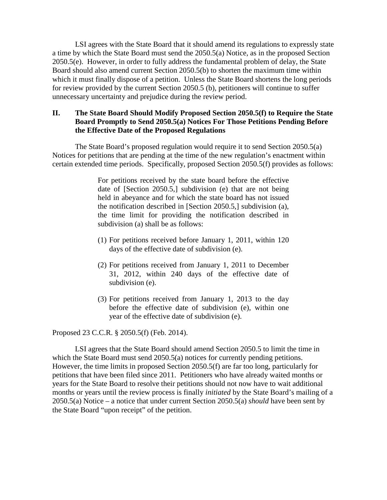LSI agrees with the State Board that it should amend its regulations to expressly state a time by which the State Board must send the 2050.5(a) Notice, as in the proposed Section 2050.5(e). However, in order to fully address the fundamental problem of delay, the State Board should also amend current Section 2050.5(b) to shorten the maximum time within which it must finally dispose of a petition. Unless the State Board shortens the long periods for review provided by the current Section 2050.5 (b), petitioners will continue to suffer unnecessary uncertainty and prejudice during the review period.

### **II. The State Board Should Modify Proposed Section 2050.5(f) to Require the State Board Promptly to Send 2050.5(a) Notices For Those Petitions Pending Before the Effective Date of the Proposed Regulations**

The State Board's proposed regulation would require it to send Section 2050.5(a) Notices for petitions that are pending at the time of the new regulation's enactment within certain extended time periods. Specifically, proposed Section 2050.5(f) provides as follows:

> For petitions received by the state board before the effective date of [Section 2050.5,] subdivision (e) that are not being held in abeyance and for which the state board has not issued the notification described in [Section 2050.5,] subdivision (a), the time limit for providing the notification described in subdivision (a) shall be as follows:

- (1) For petitions received before January 1, 2011, within 120 days of the effective date of subdivision (e).
- (2) For petitions received from January 1, 2011 to December 31, 2012, within 240 days of the effective date of subdivision (e).
- (3) For petitions received from January 1, 2013 to the day before the effective date of subdivision (e), within one year of the effective date of subdivision (e).

Proposed 23 C.C.R. § 2050.5(f) (Feb. 2014).

LSI agrees that the State Board should amend Section 2050.5 to limit the time in which the State Board must send 2050.5(a) notices for currently pending petitions. However, the time limits in proposed Section 2050.5(f) are far too long, particularly for petitions that have been filed since 2011. Petitioners who have already waited months or years for the State Board to resolve their petitions should not now have to wait additional months or years until the review process is finally *initiated* by the State Board's mailing of a 2050.5(a) Notice – a notice that under current Section 2050.5(a) *should* have been sent by the State Board "upon receipt" of the petition.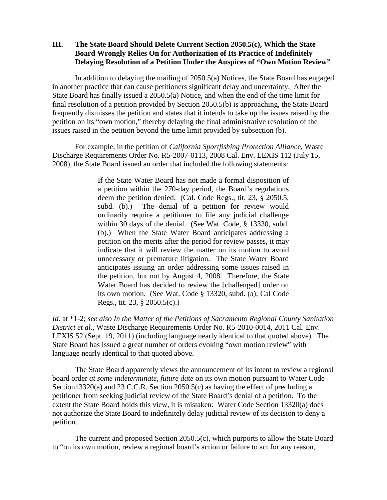# **III. The State Board Should Delete Current Section 2050.5(c), Which the State Board Wrongly Relies On for Authorization of Its Practice of Indefinitely Delaying Resolution of a Petition Under the Auspices of "Own Motion Review"**

In addition to delaying the mailing of 2050.5(a) Notices, the State Board has engaged in another practice that can cause petitioners significant delay and uncertainty. After the State Board has finally issued a 2050.5(a) Notice, and when the end of the time limit for final resolution of a petition provided by Section 2050.5(b) is approaching, the State Board frequently dismisses the petition and states that it intends to take up the issues raised by the petition on its "own motion," thereby delaying the final administrative resolution of the issues raised in the petition beyond the time limit provided by subsection (b).

For example, in the petition of *California Sportfishing Protection Alliance*, Waste Discharge Requirements Order No. R5-2007-0113, 2008 Cal. Env. LEXIS 112 (July 15, 2008), the State Board issued an order that included the following statements:

> If the State Water Board has not made a formal disposition of a petition within the 270-day period, the Board's regulations deem the petition denied. (Cal. Code Regs., tit. 23, § 2050.5, subd. (b).) The denial of a petition for review would ordinarily require a petitioner to file any judicial challenge within 30 days of the denial. (See Wat. Code, § 13330, subd. (b).) When the State Water Board anticipates addressing a petition on the merits after the period for review passes, it may indicate that it will review the matter on its motion to avoid unnecessary or premature litigation. The State Water Board anticipates issuing an order addressing some issues raised in the petition, but not by August 4, 2008. Therefore, the State Water Board has decided to review the [challenged] order on its own motion. (See Wat. Code § 13320, subd. (a); Cal Code Regs., tit. 23, § 2050.5(c).)

*Id.* at \*1-2; *see also In the Matter of the Petitions of Sacramento Regional County Sanitation District et al.*, Waste Discharge Requirements Order No. R5-2010-0014, 2011 Cal. Env. LEXIS 52 (Sept. 19, 2011) (including language nearly identical to that quoted above). The State Board has issued a great number of orders evoking "own motion review" with language nearly identical to that quoted above.

The State Board apparently views the announcement of its intent to review a regional board order *at some indeterminate, future date* on its own motion pursuant to Water Code Section13320(a) and 23 C.C.R. Section 2050.5(c) as having the effect of precluding a petitioner from seeking judicial review of the State Board's denial of a petition. To the extent the State Board holds this view, it is mistaken: Water Code Section 13320(a) does not authorize the State Board to indefinitely delay judicial review of its decision to deny a petition.

The current and proposed Section 2050.5(c), which purports to allow the State Board to "on its own motion, review a regional board's action or failure to act for any reason,